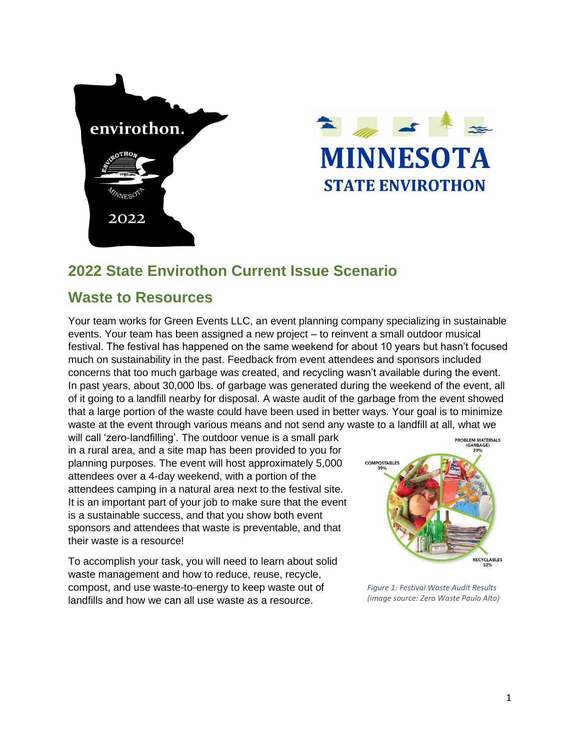



# **2022 State Envirothon Current Issue Scenario**

## **Waste to Resources**

Your team works for Green Events LLC, an event planning company specializing in sustainable events. Your team has been assigned a new project – to reinvent a small outdoor musical festival. The festival has happened on the same weekend for about 10 years but hasn't focused much on sustainability in the past. Feedback from event attendees and sponsors included concerns that too much garbage was created, and recycling wasn't available during the event. In past years, about 30,000 lbs. of garbage was generated during the weekend of the event, all of it going to a landfill nearby for disposal. A waste audit of the garbage from the event showed that a large portion of the waste could have been used in better ways. Your goal is to minimize waste at the event through various means and not send any waste to a landfill at all, what we

will call 'zero-landfilling'. The outdoor venue is a small park in a rural area, and a site map has been provided to you for planning purposes. The event will host approximately 5,000 attendees over a 4-day weekend, with a portion of the attendees camping in a natural area next to the festival site. It is an important part of your job to make sure that the event is a sustainable success, and that you show both event sponsors and attendees that waste is preventable, and that their waste is a resource!

To accomplish your task, you will need to learn about solid waste management and how to reduce, reuse, recycle, compost, and use waste-to-energy to keep waste out of landfills and how we can all use waste as a resource.



*Figure 1: Festival Waste Audit Results (image source: Zero Waste Paulo Alto)*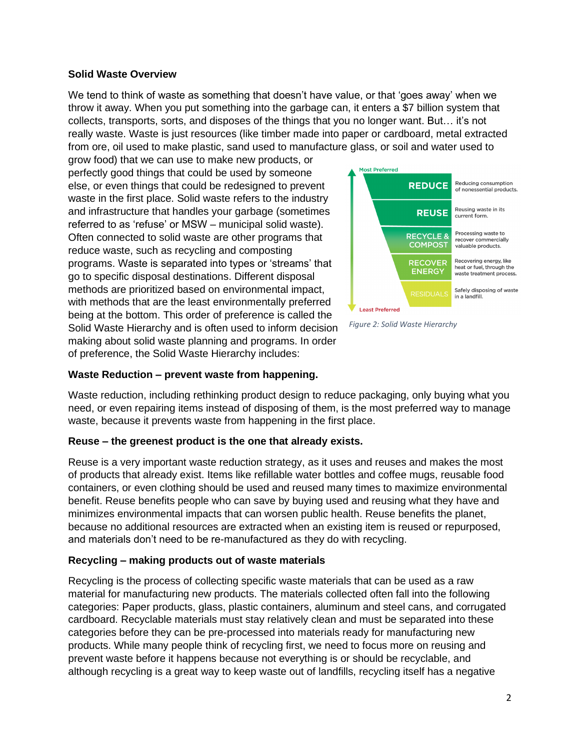#### **Solid Waste Overview**

We tend to think of waste as something that doesn't have value, or that 'goes away' when we throw it away. When you put something into the garbage can, it enters a \$7 billion system that collects, transports, sorts, and disposes of the things that you no longer want. But… it's not really waste. Waste is just resources (like timber made into paper or cardboard, metal extracted from ore, oil used to make plastic, sand used to manufacture glass, or soil and water used to

grow food) that we can use to make new products, or perfectly good things that could be used by someone else, or even things that could be redesigned to prevent waste in the first place. Solid waste refers to the industry and infrastructure that handles your garbage (sometimes referred to as 'refuse' or MSW – municipal solid waste). Often connected to solid waste are other programs that reduce waste, such as recycling and composting programs. Waste is separated into types or 'streams' that go to specific disposal destinations. Different disposal methods are prioritized based on environmental impact, with methods that are the least environmentally preferred being at the bottom. This order of preference is called the Solid Waste Hierarchy and is often used to inform decision making about solid waste planning and programs. In order of preference, the Solid Waste Hierarchy includes:



*Figure 2: Solid Waste Hierarchy*

#### **Waste Reduction – prevent waste from happening.**

Waste reduction, including rethinking product design to reduce packaging, only buying what you need, or even repairing items instead of disposing of them, is the most preferred way to manage waste, because it prevents waste from happening in the first place.

#### **Reuse – the greenest product is the one that already exists.**

Reuse is a very important waste reduction strategy, as it uses and reuses and makes the most of products that already exist. Items like refillable water bottles and coffee mugs, reusable food containers, or even clothing should be used and reused many times to maximize environmental benefit. Reuse benefits people who can save by buying used and reusing what they have and minimizes environmental impacts that can worsen public health. Reuse benefits the planet, because no additional resources are extracted when an existing item is reused or repurposed, and materials don't need to be re-manufactured as they do with recycling.

#### **Recycling – making products out of waste materials**

Recycling is the process of collecting specific waste materials that can be used as a raw material for manufacturing new products. The materials collected often fall into the following categories: Paper products, glass, plastic containers, aluminum and steel cans, and corrugated cardboard. Recyclable materials must stay relatively clean and must be separated into these categories before they can be pre-processed into materials ready for manufacturing new products. While many people think of recycling first, we need to focus more on reusing and prevent waste before it happens because not everything is or should be recyclable, and although recycling is a great way to keep waste out of landfills, recycling itself has a negative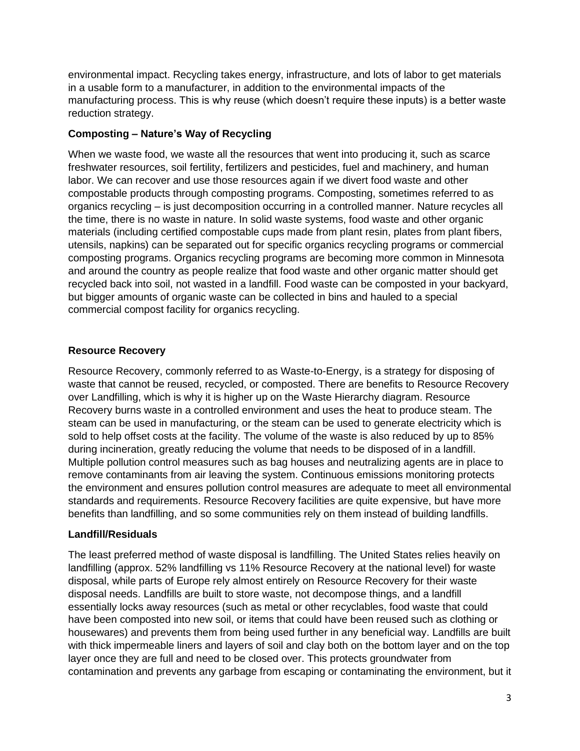environmental impact. Recycling takes energy, infrastructure, and lots of labor to get materials in a usable form to a manufacturer, in addition to the environmental impacts of the manufacturing process. This is why reuse (which doesn't require these inputs) is a better waste reduction strategy.

## **Composting – Nature's Way of Recycling**

When we waste food, we waste all the resources that went into producing it, such as scarce freshwater resources, soil fertility, fertilizers and pesticides, fuel and machinery, and human labor. We can recover and use those resources again if we divert food waste and other compostable products through composting programs. Composting, sometimes referred to as organics recycling – is just decomposition occurring in a controlled manner. Nature recycles all the time, there is no waste in nature. In solid waste systems, food waste and other organic materials (including certified compostable cups made from plant resin, plates from plant fibers, utensils, napkins) can be separated out for specific organics recycling programs or commercial composting programs. Organics recycling programs are becoming more common in Minnesota and around the country as people realize that food waste and other organic matter should get recycled back into soil, not wasted in a landfill. Food waste can be composted in your backyard, but bigger amounts of organic waste can be collected in bins and hauled to a special commercial compost facility for organics recycling.

## **Resource Recovery**

Resource Recovery, commonly referred to as Waste-to-Energy, is a strategy for disposing of waste that cannot be reused, recycled, or composted. There are benefits to Resource Recovery over Landfilling, which is why it is higher up on the Waste Hierarchy diagram. Resource Recovery burns waste in a controlled environment and uses the heat to produce steam. The steam can be used in manufacturing, or the steam can be used to generate electricity which is sold to help offset costs at the facility. The volume of the waste is also reduced by up to 85% during incineration, greatly reducing the volume that needs to be disposed of in a landfill. Multiple pollution control measures such as bag houses and neutralizing agents are in place to remove contaminants from air leaving the system. Continuous emissions monitoring protects the environment and ensures pollution control measures are adequate to meet all environmental standards and requirements. Resource Recovery facilities are quite expensive, but have more benefits than landfilling, and so some communities rely on them instead of building landfills.

## **Landfill/Residuals**

The least preferred method of waste disposal is landfilling. The United States relies heavily on landfilling (approx. 52% landfilling vs 11% Resource Recovery at the national level) for waste disposal, while parts of Europe rely almost entirely on Resource Recovery for their waste disposal needs. Landfills are built to store waste, not decompose things, and a landfill essentially locks away resources (such as metal or other recyclables, food waste that could have been composted into new soil, or items that could have been reused such as clothing or housewares) and prevents them from being used further in any beneficial way. Landfills are built with thick impermeable liners and layers of soil and clay both on the bottom layer and on the top layer once they are full and need to be closed over. This protects groundwater from contamination and prevents any garbage from escaping or contaminating the environment, but it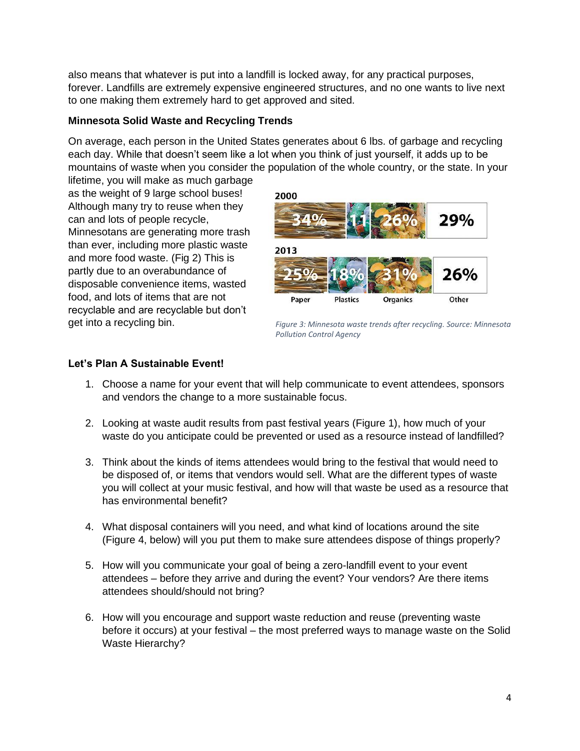also means that whatever is put into a landfill is locked away, for any practical purposes, forever. Landfills are extremely expensive engineered structures, and no one wants to live next to one making them extremely hard to get approved and sited.

## **Minnesota Solid Waste and Recycling Trends**

On average, each person in the United States generates about 6 lbs. of garbage and recycling each day. While that doesn't seem like a lot when you think of just yourself, it adds up to be mountains of waste when you consider the population of the whole country, or the state. In your

lifetime, you will make as much garbage as the weight of 9 large school buses! Although many try to reuse when they can and lots of people recycle, Minnesotans are generating more trash than ever, including more plastic waste and more food waste. (Fig 2) This is partly due to an overabundance of disposable convenience items, wasted food, and lots of items that are not recyclable and are recyclable but don't get into a recycling bin.



*Figure 3: Minnesota waste trends after recycling. Source: Minnesota Pollution Control Agency*

## **Let's Plan A Sustainable Event!**

- 1. Choose a name for your event that will help communicate to event attendees, sponsors and vendors the change to a more sustainable focus.
- 2. Looking at waste audit results from past festival years (Figure 1), how much of your waste do you anticipate could be prevented or used as a resource instead of landfilled?
- 3. Think about the kinds of items attendees would bring to the festival that would need to be disposed of, or items that vendors would sell. What are the different types of waste you will collect at your music festival, and how will that waste be used as a resource that has environmental benefit?
- 4. What disposal containers will you need, and what kind of locations around the site (Figure 4, below) will you put them to make sure attendees dispose of things properly?
- 5. How will you communicate your goal of being a zero-landfill event to your event attendees – before they arrive and during the event? Your vendors? Are there items attendees should/should not bring?
- 6. How will you encourage and support waste reduction and reuse (preventing waste before it occurs) at your festival – the most preferred ways to manage waste on the Solid Waste Hierarchy?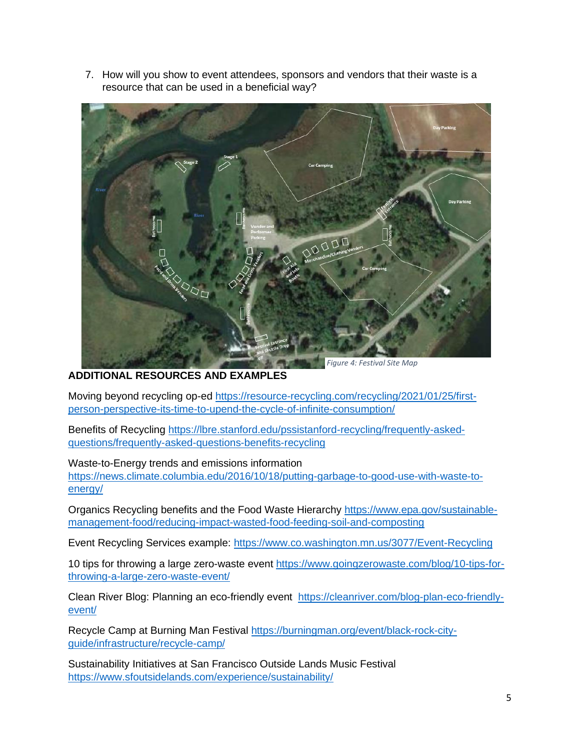7. How will you show to event attendees, sponsors and vendors that their waste is a resource that can be used in a beneficial way?



**ADDITIONAL RESOURCES AND EXAMPLES**

Moving beyond recycling op-ed [https://resource-recycling.com/recycling/2021/01/25/first](https://resource-recycling.com/recycling/2021/01/25/first-person-perspective-its-time-to-upend-the-cycle-of-infinite-consumption/)[person-perspective-its-time-to-upend-the-cycle-of-infinite-consumption/](https://resource-recycling.com/recycling/2021/01/25/first-person-perspective-its-time-to-upend-the-cycle-of-infinite-consumption/)

Benefits of Recycling [https://lbre.stanford.edu/pssistanford-recycling/frequently-asked](https://lbre.stanford.edu/pssistanford-recycling/frequently-asked-questions/frequently-asked-questions-benefits-recycling)[questions/frequently-asked-questions-benefits-recycling](https://lbre.stanford.edu/pssistanford-recycling/frequently-asked-questions/frequently-asked-questions-benefits-recycling)

Waste-to-Energy trends and emissions information

[https://news.climate.columbia.edu/2016/10/18/putting-garbage-to-good-use-with-waste-to](https://news.climate.columbia.edu/2016/10/18/putting-garbage-to-good-use-with-waste-to-energy/)[energy/](https://news.climate.columbia.edu/2016/10/18/putting-garbage-to-good-use-with-waste-to-energy/)

Organics Recycling benefits and the Food Waste Hierarchy [https://www.epa.gov/sustainable](https://www.epa.gov/sustainable-management-food/reducing-impact-wasted-food-feeding-soil-and-composting)[management-food/reducing-impact-wasted-food-feeding-soil-and-composting](https://www.epa.gov/sustainable-management-food/reducing-impact-wasted-food-feeding-soil-and-composting)

Event Recycling Services example: <https://www.co.washington.mn.us/3077/Event-Recycling>

10 tips for throwing a large zero-waste event [https://www.goingzerowaste.com/blog/10-tips-for](https://www.goingzerowaste.com/blog/10-tips-for-throwing-a-large-zero-waste-event/)[throwing-a-large-zero-waste-event/](https://www.goingzerowaste.com/blog/10-tips-for-throwing-a-large-zero-waste-event/)

Clean River Blog: Planning an eco-friendly event [https://cleanriver.com/blog-plan-eco-friendly](https://cleanriver.com/blog-plan-eco-friendly-event/)[event/](https://cleanriver.com/blog-plan-eco-friendly-event/)

Recycle Camp at Burning Man Festival [https://burningman.org/event/black-rock-city](https://burningman.org/event/black-rock-city-guide/infrastructure/recycle-camp/)[guide/infrastructure/recycle-camp/](https://burningman.org/event/black-rock-city-guide/infrastructure/recycle-camp/)

Sustainability Initiatives at San Francisco Outside Lands Music Festival <https://www.sfoutsidelands.com/experience/sustainability/>